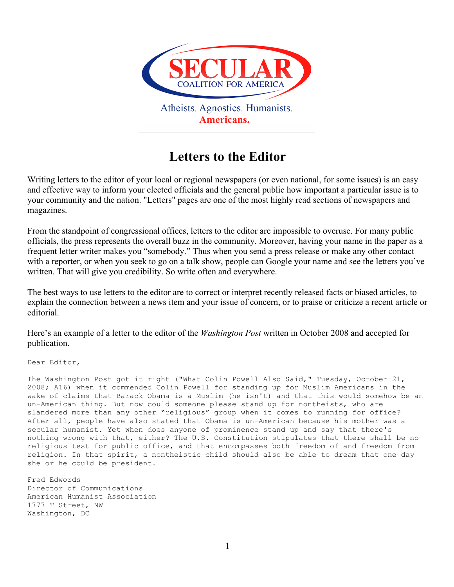

## **Letters to the Editor**

Writing letters to the editor of your local or regional newspapers (or even national, for some issues) is an easy and effective way to inform your elected officials and the general public how important a particular issue is to your community and the nation. "Letters" pages are one of the most highly read sections of newspapers and magazines.

From the standpoint of congressional offices, letters to the editor are impossible to overuse. For many public officials, the press represents the overall buzz in the community. Moreover, having your name in the paper as a frequent letter writer makes you "somebody." Thus when you send a press release or make any other contact with a reporter, or when you seek to go on a talk show, people can Google your name and see the letters you've written. That will give you credibility. So write often and everywhere.

The best ways to use letters to the editor are to correct or interpret recently released facts or biased articles, to explain the connection between a news item and your issue of concern, or to praise or criticize a recent article or editorial.

Here's an example of a letter to the editor of the *Washington Post* written in October 2008 and accepted for publication.

Dear Editor,

The Washington Post got it right ("What Colin Powell Also Said," Tuesday, October 21, 2008; A16) when it commended Colin Powell for standing up for Muslim Americans in the wake of claims that Barack Obama is a Muslim (he isn't) and that this would somehow be an un-American thing. But now could someone please stand up for nontheists, who are slandered more than any other "religious" group when it comes to running for office? After all, people have also stated that Obama is un-American because his mother was a secular humanist. Yet when does anyone of prominence stand up and say that there's nothing wrong with that, either? The U.S. Constitution stipulates that there shall be no religious test for public office, and that encompasses both freedom of and freedom from religion. In that spirit, a nontheistic child should also be able to dream that one day she or he could be president.

Fred Edwords Director of Communications American Humanist Association 1777 T Street, NW Washington, DC